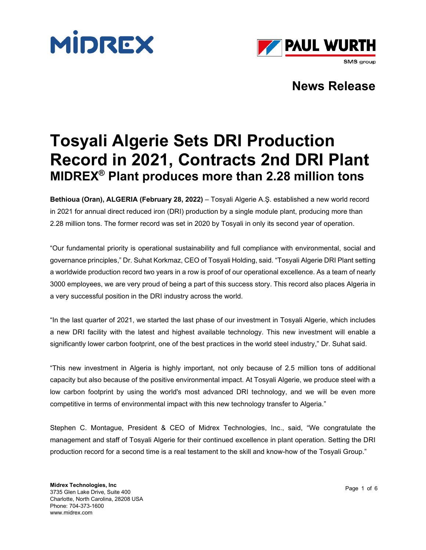



# **Tosyali Algerie Sets DRI Production Record in 2021, Contracts 2nd DRI Plant MIDREX® Plant produces more than 2.28 million tons**

**Bethioua (Oran), ALGERIA (February 28, 2022)** – Tosyali Algerie A.Ş. established a new world record in 2021 for annual direct reduced iron (DRI) production by a single module plant, producing more than 2.28 million tons. The former record was set in 2020 by Tosyali in only its second year of operation.

"Our fundamental priority is operational sustainability and full compliance with environmental, social and governance principles," Dr. Suhat Korkmaz, CEO of Tosyali Holding, said. "Tosyali Algerie DRI Plant setting a worldwide production record two years in a row is proof of our operational excellence. As a team of nearly 3000 employees, we are very proud of being a part of this success story. This record also places Algeria in a very successful position in the DRI industry across the world.

"In the last quarter of 2021, we started the last phase of our investment in Tosyali Algerie, which includes a new DRI facility with the latest and highest available technology. This new investment will enable a significantly lower carbon footprint, one of the best practices in the world steel industry," Dr. Suhat said.

"This new investment in Algeria is highly important, not only because of 2.5 million tons of additional capacity but also because of the positive environmental impact. At Tosyali Algerie, we produce steel with a low carbon footprint by using the world's most advanced DRI technology, and we will be even more competitive in terms of environmental impact with this new technology transfer to Algeria."

Stephen C. Montague, President & CEO of Midrex Technologies, Inc., said, "We congratulate the management and staff of Tosyali Algerie for their continued excellence in plant operation. Setting the DRI production record for a second time is a real testament to the skill and know-how of the Tosyali Group."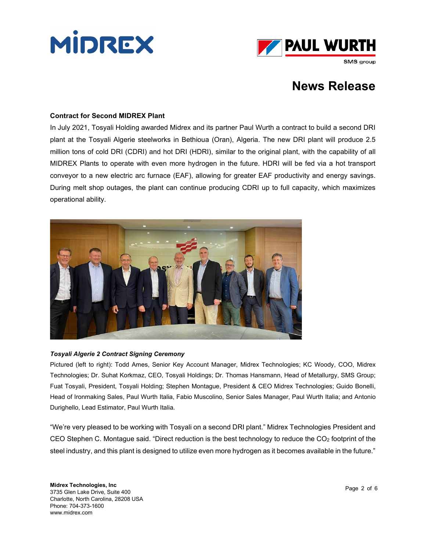



#### **Contract for Second MIDREX Plant**

In July 2021, Tosyali Holding awarded Midrex and its partner Paul Wurth a contract to build a second DRI plant at the Tosyali Algerie steelworks in Bethioua (Oran), Algeria. The new DRI plant will produce 2.5 million tons of cold DRI (CDRI) and hot DRI (HDRI), similar to the original plant, with the capability of all MIDREX Plants to operate with even more hydrogen in the future. HDRI will be fed via a hot transport conveyor to a new electric arc furnace (EAF), allowing for greater EAF productivity and energy savings. During melt shop outages, the plant can continue producing CDRI up to full capacity, which maximizes operational ability.



#### *Tosyali Algerie 2 Contract Signing Ceremony*

Pictured (left to right): Todd Ames, Senior Key Account Manager, Midrex Technologies; KC Woody, COO, Midrex Technologies; Dr. Suhat Korkmaz, CEO, Tosyali Holdings; Dr. Thomas Hansmann, Head of Metallurgy, SMS Group; Fuat Tosyali, President, Tosyali Holding; Stephen Montague, President & CEO Midrex Technologies; Guido Bonelli, Head of Ironmaking Sales, Paul Wurth Italia, Fabio Muscolino, Senior Sales Manager, Paul Wurth Italia; and Antonio Durighello, Lead Estimator, Paul Wurth Italia.

"We're very pleased to be working with Tosyali on a second DRI plant." Midrex Technologies President and CEO Stephen C. Montague said. "Direct reduction is the best technology to reduce the  $CO<sub>2</sub>$  footprint of the steel industry, and this plant is designed to utilize even more hydrogen as it becomes available in the future."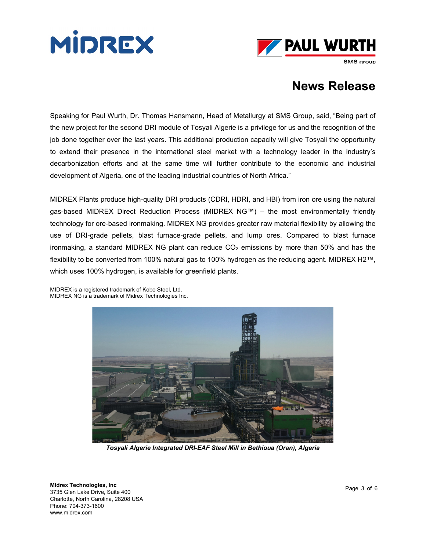



SMS group

### **News Release**

Speaking for Paul Wurth, Dr. Thomas Hansmann, Head of Metallurgy at SMS Group, said, "Being part of the new project for the second DRI module of Tosyali Algerie is a privilege for us and the recognition of the job done together over the last years. This additional production capacity will give Tosyali the opportunity to extend their presence in the international steel market with a technology leader in the industry's decarbonization efforts and at the same time will further contribute to the economic and industrial development of Algeria, one of the leading industrial countries of North Africa."

MIDREX Plants produce high-quality DRI products (CDRI, HDRI, and HBI) from iron ore using the natural gas-based MIDREX Direct Reduction Process (MIDREX NG™) – the most environmentally friendly technology for ore-based ironmaking. MIDREX NG provides greater raw material flexibility by allowing the use of DRI-grade pellets, blast furnace-grade pellets, and lump ores. Compared to blast furnace ironmaking, a standard MIDREX NG plant can reduce  $CO<sub>2</sub>$  emissions by more than 50% and has the flexibility to be converted from 100% natural gas to 100% hydrogen as the reducing agent. MIDREX H2™, which uses 100% hydrogen, is available for greenfield plants.

MIDREX is a registered trademark of Kobe Steel, Ltd. MIDREX NG is a trademark of Midrex Technologies Inc.



*Tosyali Algerie Integrated DRI-EAF Steel Mill in Bethioua (Oran), Algeria*

**Midrex Technologies, Inc**  3735 Glen Lake Drive, Suite 400 Charlotte, North Carolina, 28208 USA Phone: 704-373-1600 www.midrex.com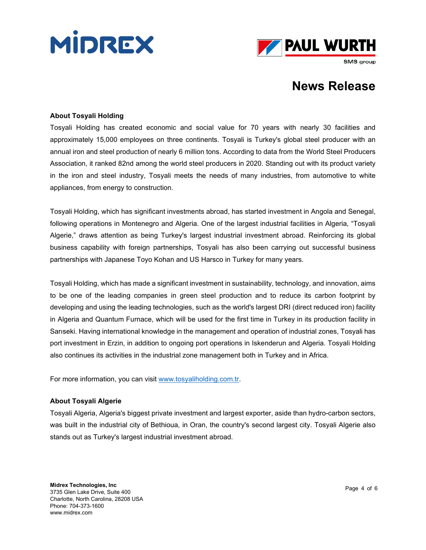



#### **About Tosyali Holding**

Tosyali Holding has created economic and social value for 70 years with nearly 30 facilities and approximately 15,000 employees on three continents. Tosyali is Turkey's global steel producer with an annual iron and steel production of nearly 6 million tons. According to data from the World Steel Producers Association, it ranked 82nd among the world steel producers in 2020. Standing out with its product variety in the iron and steel industry, Tosyali meets the needs of many industries, from automotive to white appliances, from energy to construction.

Tosyali Holding, which has significant investments abroad, has started investment in Angola and Senegal, following operations in Montenegro and Algeria. One of the largest industrial facilities in Algeria, "Tosyali Algerie," draws attention as being Turkey's largest industrial investment abroad. Reinforcing its global business capability with foreign partnerships, Tosyali has also been carrying out successful business partnerships with Japanese Toyo Kohan and US Harsco in Turkey for many years.

Tosyali Holding, which has made a significant investment in sustainability, technology, and innovation, aims to be one of the leading companies in green steel production and to reduce its carbon footprint by developing and using the leading technologies, such as the world's largest DRI (direct reduced iron) facility in Algeria and Quantum Furnace, which will be used for the first time in Turkey in its production facility in Sarıseki. Having international knowledge in the management and operation of industrial zones, Tosyali has port investment in Erzin, in addition to ongoing port operations in Iskenderun and Algeria. Tosyali Holding also continues its activities in the industrial zone management both in Turkey and in Africa.

For more information, you can visit [www.tosyaliholding.com.tr.](http://www.tosyaliholding.com.tr/)

#### **About Tosyali Algerie**

Tosyali Algeria, Algeria's biggest private investment and largest exporter, aside than hydro-carbon sectors, was built in the industrial city of Bethioua, in Oran, the country's second largest city. Tosyali Algerie also stands out as Turkey's largest industrial investment abroad.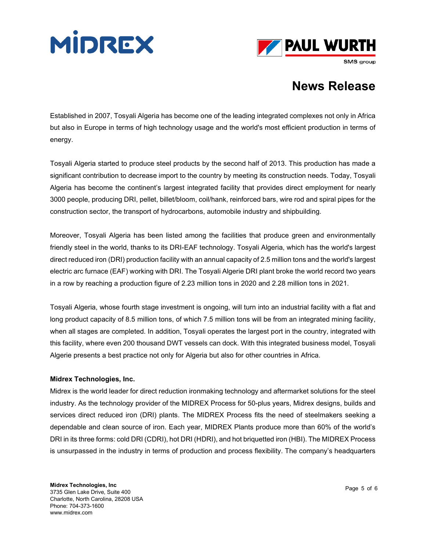



SMS group

## **News Release**

Established in 2007, Tosyali Algeria has become one of the leading integrated complexes not only in Africa but also in Europe in terms of high technology usage and the world's most efficient production in terms of energy.

Tosyali Algeria started to produce steel products by the second half of 2013. This production has made a significant contribution to decrease import to the country by meeting its construction needs. Today, Tosyali Algeria has become the continent's largest integrated facility that provides direct employment for nearly 3000 people, producing DRI, pellet, billet/bloom, coil/hank, reinforced bars, wire rod and spiral pipes for the construction sector, the transport of hydrocarbons, automobile industry and shipbuilding.

Moreover, Tosyali Algeria has been listed among the facilities that produce green and environmentally friendly steel in the world, thanks to its DRI-EAF technology. Tosyali Algeria, which has the world's largest direct reduced iron (DRI) production facility with an annual capacity of 2.5 million tons and the world's largest electric arc furnace (EAF) working with DRI. The Tosyali Algerie DRI plant broke the world record two years in a row by reaching a production figure of 2.23 million tons in 2020 and 2.28 million tons in 2021.

Tosyali Algeria, whose fourth stage investment is ongoing, will turn into an industrial facility with a flat and long product capacity of 8.5 million tons, of which 7.5 million tons will be from an integrated mining facility, when all stages are completed. In addition, Tosyali operates the largest port in the country, integrated with this facility, where even 200 thousand DWT vessels can dock. With this integrated business model, Tosyali Algerie presents a best practice not only for Algeria but also for other countries in Africa.

### **Midrex Technologies, Inc.**

Midrex is the world leader for direct reduction ironmaking technology and aftermarket solutions for the steel industry. As the technology provider of the MIDREX Process for 50-plus years, Midrex designs, builds and services direct reduced iron (DRI) plants. The MIDREX Process fits the need of steelmakers seeking a dependable and clean source of iron. Each year, MIDREX Plants produce more than 60% of the world's DRI in its three forms: cold DRI (CDRI), hot DRI (HDRI), and hot briquetted iron (HBI). The MIDREX Process is unsurpassed in the industry in terms of production and process flexibility. The company's headquarters